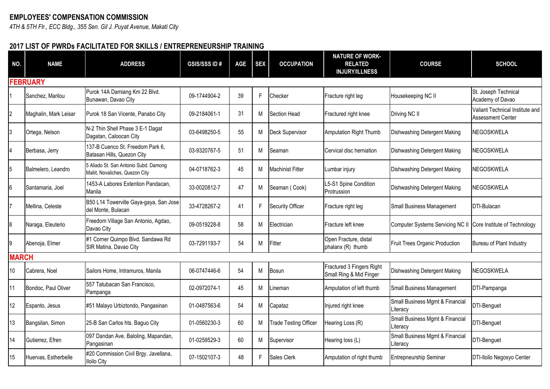## **EMPLOYEES' COMPENSATION COMMISSION**

*4TH & 5TH Flr., ECC Bldg., 355 Sen. Gil J. Puyat Avenue, Makati City*

## **2017 LIST OF PWRDs FACILITATED FOR SKILLS / ENTREPRENEURSHIP TRAINING**

| NO.            | <b>NAME</b>           | <b>ADDRESS</b>                                                           | <b>GSIS/SSS ID#</b> | <b>AGE</b> | <b>SEX</b> | <b>OCCUPATION</b>            | <b>NATURE OF WORK-</b><br><b>RELATED</b><br><b>INJURY/ILLNESS</b> | <b>COURSE</b>                                                 | <b>SCHOOL</b>                                        |
|----------------|-----------------------|--------------------------------------------------------------------------|---------------------|------------|------------|------------------------------|-------------------------------------------------------------------|---------------------------------------------------------------|------------------------------------------------------|
|                | <b>FEBRUARY</b>       |                                                                          |                     |            |            |                              |                                                                   |                                                               |                                                      |
|                | Sanchez, Marilou      | Purok 14A Damiang Km 22 Blvd.<br>Bunawan, Davao City                     | 09-1744904-2        | 39         | F          | Checker                      | Fracture right leg                                                | Housekeeping NC II                                            | St. Joseph Technical<br>Academy of Davao             |
| $\overline{c}$ | Maghalin, Mark Leisar | Purok 18 San Vicente, Panabo City                                        | 09-2184061-1        | 31         | M          | Section Head                 | Fractured right knee                                              | Driving NC II                                                 | Valiant Technical Institute and<br>Assessment Center |
| 3              | Ortega, Nelson        | N-2 Thin Shell Phase 3 E-1 Dagat<br>Dagatan, Caloocan City               | 03-6498250-5        | 55         | M          | Deck Supervisor              | Amputation Right Thumb                                            | Dishwashing Detergent Making                                  | NEGOSKWELA                                           |
| 4              | Berbasa, Jerry        | 137-B Cuenco St. Freedom Park 6,<br>Batasan Hills, Quezon City           | 03-9320767-5        | 51         | M          | Seaman                       | Cervical disc herniation                                          | Dishwashing Detergent Making                                  | NEGOSKWELA                                           |
| 5              | Balmelero, Leandro    | 5 Aliado St. San Antonio Subd. Damong<br>Maliit, Novaliches, Quezon City | 04-0718762-3        | 45         | M          | Machinist Fitter             | Lumbar injury                                                     | Dishwashing Detergent Making                                  | NEGOSKWELA                                           |
| 6              | Santamaria, Joel      | 1453-A Labores Extention Pandacan,<br>Manila                             | 33-0020812-7        | 47         | M          | Seaman (Cook)                | L5-S1 Spine Condition<br>Protrussion                              | Dishwashing Detergent Making                                  | NEGOSKWELA                                           |
| $\overline{7}$ | Mellina, Celeste      | B50 L14 Towerville Gaya-gaya, San Jose<br>del Monte, Bulacan             | 33-4728267-2        | 41         | F          | <b>Security Officer</b>      | Fracture right leg                                                | <b>Small Business Management</b>                              | DTI-Bulacan                                          |
| 8              | Naraga, Eleuterio     | Freedom Village San Antonio, Agdao,<br>Davao City                        | 09-0519228-8        | 58         | M          | Electrician                  | Fracture left knee                                                | Computer Systems Servicing NC II Core Institute of Technology |                                                      |
| 9              | Abenoja, Elmer        | #1 Corner Quimpo Blvd. Sandawa Rd<br>SIR Matina, Davao City              | 03-7291193-7        | 54         | M          | Fitter                       | Open Fracture, distal<br>phalanx (R) thumb                        | Fruit Trees Organic Production                                | Bureau of Plant Industry                             |
| <b>MARCH</b>   |                       |                                                                          |                     |            |            |                              |                                                                   |                                                               |                                                      |
| 10             | Cabrera, Noel         | Sailors Home, Intramuros, Manila                                         | 06-0747446-6        | 54         | M          | Bosun                        | Fractured 3 Fingers Right<br>Small Ring & Mid Finger              | Dishwashing Detergent Making                                  | <b>NEGOSKWELA</b>                                    |
| 11             | Bondoc, Paul Oliver   | 557 Tatubacan San Francisco,<br>Pampanga                                 | 02-0972074-1        | 45         | M          | .ineman                      | Amputation of left thumb                                          | <b>Small Business Management</b>                              | DTI-Pampanga                                         |
| 12             | Espanto, Jesus        | #51 Malayo Urbiztondo, Pangasinan                                        | 01-0487563-6        | 54         | M          | Capataz                      | Injured right knee                                                | Small Business Mgmt & Financial<br>Literacv                   | DTI-Benguet                                          |
| 13             | Bangsilan, Simon      | 25-B San Carlos hts. Baguo City                                          | 01-0560230-3        | 60         | M          | <b>Trade Testing Officer</b> | Hearing Loss (R)                                                  | Small Business Mgmt & Financial<br>Literacv                   | DTI-Benguet                                          |
| 14             | Gutierrez, Efren      | 097 Dandan Ave. Baloling, Mapandan,<br>Pangasinan                        | 01-0259529-3        | 60         | M          | Supervisor                   | Hearing loss (L)                                                  | Small Business Mgmt & Financial<br>Literacy                   | DTI-Benguet                                          |
| 15             | Huervas, Estherbelle  | #20 Commission Civil Brgy. Javellana,<br><b>Iloilo City</b>              | 07-1502107-3        | 48         | F          | <b>Sales Clerk</b>           | Amputation of right thumb                                         | <b>Entrepneurship Seminar</b>                                 | DTI-Iloilo Negosyo Center                            |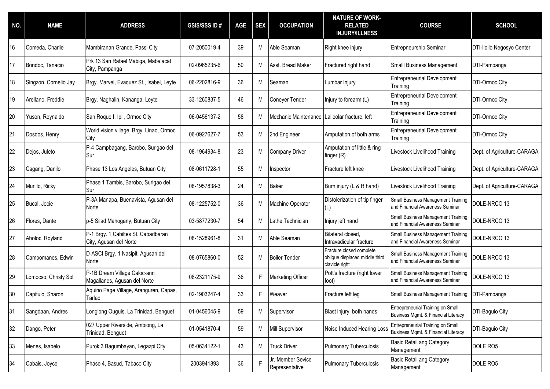| NO. | <b>NAME</b>           | <b>ADDRESS</b>                                                | <b>GSIS/SSS ID#</b> | <b>AGE</b> | <b>SEX</b> | <b>OCCUPATION</b>                   | <b>NATURE OF WORK-</b><br><b>RELATED</b><br><b>INJURY/ILLNESS</b>            | <b>COURSE</b>                                                            | <b>SCHOOL</b>               |
|-----|-----------------------|---------------------------------------------------------------|---------------------|------------|------------|-------------------------------------|------------------------------------------------------------------------------|--------------------------------------------------------------------------|-----------------------------|
| 16  | Comeda, Charlie       | Mambiranan Grande, Passi City                                 | 07-2050019-4        | 39         | M          | Able Seaman                         | Right knee injury                                                            | <b>Entrepneurship Seminar</b>                                            | DTI-Iloilo Negosyo Center   |
| 17  | Bondoc, Tanacio       | Prk 13 San Rafael Mabiga, Mabalacat<br>City, Pampanga         | 02-0965235-6        | 50         | М          | Asst. Bread Maker                   | Fractured right hand                                                         | Smalll Business Management                                               | DTI-Pampanga                |
| 18  | Singzon, Cornelio Jay | Brgy. Marvel, Evaquez St., Isabel, Leyte                      | 06-2202816-9        | 36         | М          | Seaman                              | Lumbar Injury                                                                | <b>Entrepreneurial Development</b><br>Training                           | DTI-Ormoc City              |
| 19  | Arellano, Freddie     | Brgy. Naghalin, Kananga, Leyte                                | 33-1260837-5        | 46         | М          | Coneyer Tender                      | Injury to forearm (L)                                                        | <b>Entrepreneurial Development</b><br>Training                           | <b>DTI-Ormoc City</b>       |
| 20  | Yuson, Reynaldo       | San Roque I, Ipil, Ormoc City                                 | 06-0456137-2        | 58         | М          | Mechanic Maintenance                | Lalleolar fracture, left                                                     | <b>Entrepreneurial Development</b><br>Training                           | <b>DTI-Ormoc City</b>       |
| 21  | Dosdos, Henry         | World vision village, Brgy. Linao, Ormoc<br>City              | 06-0927627-7        | 53         | M          | 2nd Engineer                        | Amputation of both arms                                                      | <b>Entrepreneurial Development</b><br>Training                           | <b>DTI-Ormoc City</b>       |
| 22  | Dejos, Juleto         | P-4 Campbagang, Barobo, Surigao del<br>Sur                    | 08-1964934-8        | 23         | М          | <b>Company Driver</b>               | Amputation of little & ring<br>finger (R)                                    | Livestock Livelihood Training                                            | Dept. of Agriculture-CARAGA |
| 23  | Cagang, Danilo        | Phase 13 Los Angeles, Butuan City                             | 08-0611728-1        | 55         | M          | Inspector                           | Fracture left knee                                                           | Livestock Livelihood Training                                            | Dept. of Agriculture-CARAGA |
| 24  | Murillo, Ricky        | Phase 1 Tambis, Barobo, Surigao del<br>Sur                    | 08-1957838-3        | 24         | M          | <b>Baker</b>                        | Burn injury (L & R hand)                                                     | Livestock Livelihood Training                                            | Dept. of Agriculture-CARAGA |
| 25  | Bucal, Jecie          | P-3A Manapa, Buenavista, Agusan del<br>Norte                  | 08-1225752-0        | 36         | М          | Machine Operator                    | Distolerization of tip finger<br>(L)                                         | Small Business Management Training<br>and Financial Awareness Seminar    | DOLE-NRCO 13                |
| 26  | Flores, Dante         | p-5 Silad Mahogany, Butuan City                               | 03-5877230-7        | 54         | M          | Lathe Technician                    | Injury left hand                                                             | Small Business Management Training<br>and Financial Awareness Seminar    | DOLE-NRCO 13                |
| 27  | Aboloc, Royland       | P-1 Brgy. 1 Cabiltes St. Cabadbaran<br>City, Agusan del Norte | 08-1528961-8        | 31         | М          | Able Seaman                         | Bilateral closed,<br>Intravadicular fracture                                 | Small Business Management Training<br>and Financial Awareness Seminar    | DOLE-NRCO 13                |
| 28  | Campomanes, Edwin     | D-ASCI Brgy. 1 Nasipit, Agusan del<br>Norte                   | 08-0765860-0        | 52         | M          | <b>Boiler Tender</b>                | Fracture closed complete<br>obligue displaced middle third<br>clavicle right | Small Business Management Training<br>and Financial Awareness Seminar    | DOLE-NRCO 13                |
| 29  | Lomocso, Christy Sol  | P-1B Dream Village Caloc-ann<br>Magallanes, Agusan del Norte  | 08-2321175-9        | 36         | F.         | Marketing Officer                   | Pott's fracture (right lower<br>foot)                                        | Small Business Management Training<br>and Financial Awareness Seminar    | DOLE-NRCO 13                |
| 30  | Capitulo, Sharon      | Aquino Page Village, Aranguren, Capas,<br>Tarlac              | 02-1903247-4        | 33         | F          | Weaver                              | Fracture left leg                                                            | <b>Small Business Management Training</b>                                | DTI-Pampanga                |
| 31  | Sangdaan, Andres      | Longlong Ouguis, La Trinidad, Benguet                         | 01-0456045-9        | 59         | М          | Supervisor                          | Blast injury, both hands                                                     | Entrepreneurial Training on Small<br>Business Mgmt. & Financial Literacy | DTI-Baguio City             |
| 32  | Dango, Peter          | 027 Upper Riverside, Ambiong, La<br>Trinidad, Benguet         | 01-0541870-4        | 59         | М          | Mill Supervisor                     | Noise Induced Hearing Loss                                                   | Entrepreneurial Training on Small<br>Business Mgmt. & Financial Literacy | DTI-Baguio City             |
| 33  | Menes, Isabelo        | Purok 3 Bagumbayan, Legazpi City                              | 05-0634122-1        | 43         | M          | <b>Truck Driver</b>                 | <b>Pulmonary Tuberculosis</b>                                                | Basic Retail ang Category<br>Management                                  | DOLE RO5                    |
| 34  | Cabais, Joyce         | Phase 4, Basud, Tabaco City                                   | 2003941893          | 36         | Е          | Jr. Member Sevice<br>Representative | <b>Pulmonary Tuberculosis</b>                                                | Basic Retail ang Category<br>Management                                  | DOLE RO5                    |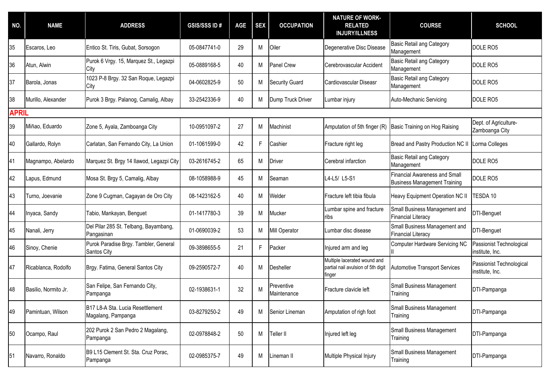| NO.          | <b>NAME</b>          | <b>ADDRESS</b>                                         | <b>GSIS/SSS ID#</b> | <b>AGE</b> | <b>SEX</b> | <b>OCCUPATION</b>         | <b>NATURE OF WORK-</b><br><b>RELATED</b><br><b>INJURY/ILLNESS</b>            | <b>COURSE</b>                                                               | <b>SCHOOL</b>                               |
|--------------|----------------------|--------------------------------------------------------|---------------------|------------|------------|---------------------------|------------------------------------------------------------------------------|-----------------------------------------------------------------------------|---------------------------------------------|
| 35           | Escaros, Leo         | Entico St. Tiris, Gubat, Sorsogon                      | 05-0847741-0        | 29         | М          | Oiler                     | Degenerative Disc Disease                                                    | <b>Basic Retail ang Category</b><br>Management                              | DOLE RO5                                    |
| 36           | Atun, Alwin          | Purok 6 Vrgy. 15, Marquez St., Legazpi<br>City         | 05-0889168-5        | 40         | М          | Panel Crew                | Cerebrovascular Accident                                                     | Basic Retail ang Category<br>Management                                     | DOLE RO5                                    |
| 37           | Barola, Jonas        | 1023 P-8 Brgy. 32 San Roque, Legazpi<br>City           | 04-0602825-9        | 50         | М          | <b>Security Guard</b>     | Cardiovascular Diseasr                                                       | Basic Retail ang Category<br>Management                                     | DOLE RO5                                    |
| 38           | Murillo, Alexander   | Purok 3 Brgy. Palanog, Camalig, Albay                  | 33-2542336-9        | 40         | M          | Dump Truck Driver         | Lumbar injury                                                                | Auto-Mechanic Servicing                                                     | DOLE RO5                                    |
| <b>APRIL</b> |                      |                                                        |                     |            |            |                           |                                                                              |                                                                             |                                             |
| 39           | Miñao, Eduardo       | Zone 5, Ayala, Zamboanga City                          | 10-0951097-2        | 27         | M          | Machinist                 | Amputation of 5th finger (R)                                                 | Basic Training on Hog Raising                                               | Dept. of Agriculture-<br>Zamboanga City     |
| 40           | Gallardo, Rolyn      | Carlatan, San Fernando City, La Union                  | 01-1061599-0        | 42         | F          | Cashier                   | Fracture right leg                                                           | Bread and Pastry Production NC II                                           | Lorma Colleges                              |
| 41           | Magnampo, Abelardo   | Marquez St. Brgy 14 Ilawod, Legazpi City               | 03-2616745-2        | 65         | M          | Driver                    | Cerebral infarction                                                          | Basic Retail ang Category<br>Management                                     | DOLE RO5                                    |
| 42           | Lapus, Edmund        | Mosa St. Brgy 5, Camalig, Albay                        | 08-1058988-9        | 45         | М          | Seaman                    | L4-L5/ L5-S1                                                                 | <b>Financial Awareness and Small</b><br><b>Business Management Training</b> | DOLE RO5                                    |
| 43           | Turno, Joevanie      | Zone 9 Cugman, Cagayan de Oro City                     | 08-1423162-5        | 40         | M          | Welder                    | Fracture left tibia fibula                                                   | Heavy Equipment Operation NC II                                             | TESDA 10                                    |
| 44           | Inyaca, Sandy        | Tabio, Mankayan, Benguet                               | 01-1417780-3        | 39         | M          | Mucker                    | Lumbar spine and fracture<br>Iribs                                           | Small Business Management and<br><b>Financial Literacy</b>                  | DTI-Benguet                                 |
| 45           | Nanali, Jerry        | Del Pilar 285 St. Telbang, Bayambang,<br>Pangasinan    | 01-0690039-2        | 53         | M          | Mill Operator             | Lumbar disc disease                                                          | Small Business Management and<br><b>Financial Literacy</b>                  | DTI-Benguet                                 |
| 46           | Sinoy, Chenie        | Purok Paradise Brgy. Tambler, General<br>Santos City   | 09-3898655-5        | 21         | F.         | Packer                    | Injured arm and leg                                                          | <b>Computer Hardware Servicing NC</b>                                       | Passionist Technological<br>institute, Inc. |
| 47           | Ricablanca, Rodolfo  | Brgy. Fatima, General Santos City                      | 09-2590572-7        | 40         | M          | Desheller                 | Multiple lacerated wound and<br>partial nail avulsion of 5th digit<br>finger | <b>Automotive Transport Services</b>                                        | Passionist Technological<br>institute, Inc. |
| 48           | Basilio, Normito Jr. | San Felipe, San Fernando City,<br>Pampanga             | 02-1938631-1        | 32         | M          | Preventive<br>Maintenance | Fracture clavicle left                                                       | Small Business Management<br>Training                                       | DTI-Pampanga                                |
| 49           | Pamintuan, Wilson    | B17 L8-A Sta. Lucia Resettlement<br>Magalang, Pampanga | 03-8279250-2        | 49         | М          | Senior Lineman            | Amputation of righ foot                                                      | Small Business Management<br>Training                                       | DTI-Pampanga                                |
| 50           | Ocampo, Raul         | 202 Purok 2 San Pedro 2 Magalang,<br>Pampanga          | 02-0978848-2        | 50         | M          | Teller II                 | Injured left leg                                                             | <b>Small Business Management</b><br>Training                                | DTI-Pampanga                                |
| 51           | Navarro, Ronaldo     | B9 L15 Clement St. Sta. Cruz Porac,<br>Pampanga        | 02-0985375-7        | 49         | M          | Lineman II                | Multiple Physical Injury                                                     | <b>Small Business Management</b><br>Training                                | DTI-Pampanga                                |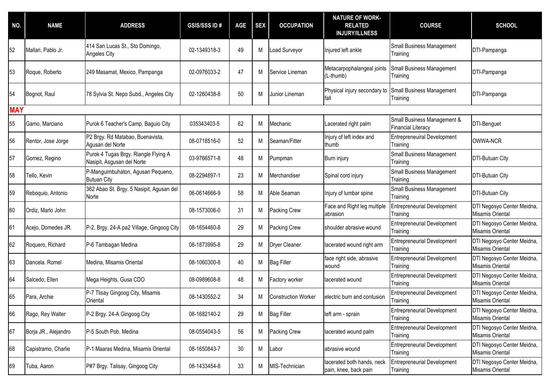| NO.        | <b>NAME</b>          | <b>ADDRESS</b>                                                     | <b>GSIS/SSS ID#</b> | <b>AGE</b> | <b>SEX</b> | <b>OCCUPATION</b>          | <b>NATURE OF WORK-</b><br><b>RELATED</b><br><b>INJURY/ILLNESS</b> | <b>COURSE</b>                                            | <b>SCHOOL</b>                                  |
|------------|----------------------|--------------------------------------------------------------------|---------------------|------------|------------|----------------------------|-------------------------------------------------------------------|----------------------------------------------------------|------------------------------------------------|
| 52         | Mallari, Pablo Jr.   | 414 San Lucas St., Sto Domingo,<br><b>Angeles City</b>             | 02-1349318-3        | 49         | M          | Load Surveyor              | Injured left ankle                                                | <b>Small Business Management</b><br>Training             | DTI-Pampanga                                   |
| 53         | Roque, Roberto       | 249 Masamat, Mexico, Pampanga                                      | 02-0976033-2        | 47         | M          | Service Lineman            | Metacarpophalangeal joints<br>(L-thumb)                           | Small Business Management<br>Training                    | DTI-Pampanga                                   |
| 54         | Bognot, Raul         | 78 Sylvia St. Nepo Subd., Angeles City                             | 02-1260438-8        | 50         | М          | Junior Lineman             | Physical injury secondary to<br>fall                              | <b>Small Business Management</b><br>Training             | DTI-Pampanga                                   |
| <b>MAY</b> |                      |                                                                    |                     |            |            |                            |                                                                   |                                                          |                                                |
| 55         | Gamo, Marciano       | Purok 6 Teacher's Camp, Baguio City                                | 035343403-5         | 62         | М          | Mechanic                   | Lacerated right palm                                              | Small Business Management &<br><b>Financial Literacy</b> | <b>DTI-Benguet</b>                             |
| 56         | Rentor, Jose Jorge   | P2 Brgy. Rd Matabao, Buenavista,<br>Agusan del Norte               | 08-0718516-0        | 52         | М          | Seaman/Fitter              | Injury of left index and<br>thumb                                 | <b>Entrepreneuiral Development</b><br>Training           | OWWA-NCR                                       |
| 57         | Gomez, Regino        | Purok 4 Tugas Brgy. Riangle Flying A<br>Nasipit, Asgusan del Norte | 03-9766571-8        | 48         | M          | Pumpman                    | Burn injury                                                       | Small Business Management<br>Training                    | <b>DTI-Butuan City</b>                         |
| 58         | Tello, Kevin         | P-Manguimbuhaton, Agusan Pequeno,<br><b>Butuan City</b>            | 08-2294897-1        | 23         | M          | Merchandiser               | Spinal cord injury                                                | <b>Small Business Management</b><br>Training             | <b>DTI-Butuan City</b>                         |
| 59         | Reboquio, Antonio    | 362 Abao St. Brgy. 5 Nasipit, Agusan del<br>Norte                  | 06-0614666-9        | 58         | M          | Able Seaman                | Injury of lumbar spine                                            | <b>Small Business Management</b><br>Training             | <b>DTI-Butuan City</b>                         |
| 60         | Ordiz, Marlo John    |                                                                    | 08-1573006-0        | 31         | M          | Packing Crew               | Face and Right leg multiple<br>abrasion                           | <b>Entrepreneurial Development</b><br>Training           | DTI Negosyo Center Meidna,<br>Misamis Oriental |
| 61         | Acejo, Domedes JR.   | P-2, Brgy. 24-A pa2 Village, Gingoog City                          | 08-1654460-8        | 29         | М          | Packing Crew               | shoulder abrasive wound                                           | <b>Entrepreneurial Development</b><br>Training           | DTI Negosyo Center Meidna,<br>Misamis Oriental |
| 62         | Roquero, Richard     | P-6 Tambagan Medina                                                | 08-1873995-8        | 29         | М          | Dryer Cleaner              | lacerated wound right arm                                         | <b>Entrepreneurial Development</b><br>Training           | DTI Negosyo Center Meidna,<br>Misamis Oriental |
| 63         | Dancela. Romel       | Medina, Misamis Oriental                                           | 08-1060300-8        | 40         | М          | <b>Bag Filler</b>          | face right side, abrasive<br>wound                                | <b>Entrepreneurial Development</b><br>Training           | DTI Negosyo Center Meidna,<br>Misamis Oriental |
| 64         | Salcedo, Ellen       | Mega Heights, Gusa CDO                                             | 08-0989608-8        | 48         | М          | Factory worker             | lacerated wound                                                   | <b>Entrepreneurial Development</b><br>Training           | DTI Negosyo Center Meidna,<br>Misamis Oriental |
| 65         | Para, Archie         | P-7 Tlisay Gingoog City, Misamis<br>Oriental                       | 08-1430552-2        | 34         | M          | <b>Construction Worker</b> | electric burn and contusion                                       | <b>Entrepreneurial Development</b><br>Training           | DTI Negosyo Center Meidna,<br>Misamis Oriental |
| 66         | Rago, Rey Walter     | P-2 Brgy. 24-A Gingoog City                                        | 08-1682140-2        | 29         | М          | <b>Bag Filler</b>          | left arm - sprain                                                 | <b>Entrepreneurial Development</b><br>Training           | DTI Negosyo Center Meidna,<br>Misamis Oriental |
| 67         | Borja JR., Alejandro | P-5 South Pob. Medina                                              | 08-0554043-5        | 56         | M          | Packing Crew               | lacerated wound palm                                              | <b>Entrepreneurial Development</b><br>Training           | DTI Negosyo Center Meidna,<br>Misamis Oriental |
| 68         | Capistramo, Charlie  | P-1 Maaras Medina, Misamis Oriental                                | 08-1650843-7        | 30         | M          | Labor                      | abrasive wound                                                    | <b>Entrepreneurial Development</b><br>Training           | DTI Negosyo Center Meidna,<br>Misamis Oriental |
| 69         | Tuba, Aaron          | P#7 Brgy. Talisay, Gingoog City                                    | 08-1433454-8        | 33         | M          | MIS-Technician             | lacerated both hands, neck<br>pain, knee, back pain               | <b>Entrepreneurial Development</b><br>Training           | DTI Negosyo Center Meidna,<br>Misamis Oriental |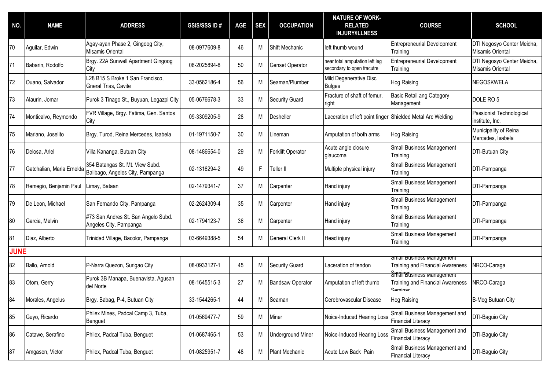| NO.         | <b>NAME</b>               | <b>ADDRESS</b>                                                      | <b>GSIS/SSS ID#</b> | <b>AGE</b> | <b>SEX</b> | <b>OCCUPATION</b>        | <b>NATURE OF WORK-</b><br><b>RELATED</b><br><b>INJURY/ILLNESS</b> | <b>COURSE</b>                                                                                       | <b>SCHOOL</b>                                         |
|-------------|---------------------------|---------------------------------------------------------------------|---------------------|------------|------------|--------------------------|-------------------------------------------------------------------|-----------------------------------------------------------------------------------------------------|-------------------------------------------------------|
| 70          | Aguilar, Edwin            | Agay-ayan Phase 2, Gingoog City,<br>Misamis Oriental                | 08-0977609-8        | 46         | M          | Shift Mechanic           | left thumb wound                                                  | <b>Entrepreneurial Development</b><br>Training                                                      | DTI Negosyo Center Meidna,<br>Misamis Oriental        |
| 71          | Babarin, Rodolfo          | Brgy. 22A Sunwell Apartment Gingoog<br>City                         | 08-2025894-8        | 50         | М          | Genset Operator          | near total amputation left leg<br>secondary to open fracutre      | <b>Entrepreneurial Development</b><br>Training                                                      | DTI Negosyo Center Meidna,<br><b>Misamis Oriental</b> |
| 72          | Ouano, Salvador           | L28 B15 S Broke 1 San Francisco,<br>Gneral Trias, Cavite            | 33-0562186-4        | 56         | М          | Seaman/Plumber           | Mild Degenerative Disc<br><b>Bulges</b>                           | Hog Raising                                                                                         | NEGOSKWELA                                            |
| 73          | Alaurin, Jomar            | Purok 3 Tinago St., Buyuan, Legazpi City                            | 05-0676678-3        | 33         | М          | <b>Security Guard</b>    | Fracture of shaft of femur,<br>right                              | <b>Basic Retail ang Category</b><br>Management                                                      | DOLE RO <sub>5</sub>                                  |
| 74          | Monticalvo, Reymondo      | FVR Village, Brgy. Fatima, Gen. Santos<br>City                      | 09-3309205-9        | 28         | M          | Desheller                | aceration of left point finger Shielded Metal Arc Welding         |                                                                                                     | Passionist Technological<br>institute, Inc.           |
| 75          | Mariano, Joselito         | Brgy. Turod, Reina Mercedes, Isabela                                | 01-1971150-7        | 30         | М          | Lineman                  | Amputation of both arms                                           | Hog Raising                                                                                         | Municipality of Reina<br>Mercedes, Isabela            |
| 76          | Delosa, Ariel             | Villa Kananga, Butuan City                                          | 08-1486654-0        | 29         | М          | Forklift Operator        | Acute angle closure<br>glaucoma                                   | Small Business Management<br>Training                                                               | <b>DTI-Butuan City</b>                                |
| 77          | Gatchalian, Maria Ernelda | 354 Batangas St. Mt. View Subd.<br>Balibago, Angeles City, Pampanga | 02-1316294-2        | 49         | F.         | Teller II                | Multiple physical injury                                          | <b>Small Business Management</b><br>Training                                                        | DTI-Pampanga                                          |
| 78          | Remegio, Benjamin Paul    | Limay, Bataan                                                       | 02-1479341-7        | 37         | М          | Carpenter                | Hand injury                                                       | <b>Small Business Management</b><br>Training                                                        | DTI-Pampanga                                          |
| 79          | De Leon, Michael          | San Fernando City, Pampanga                                         | 02-2624309-4        | 35         | М          | Carpenter                | Hand injury                                                       | <b>Small Business Management</b><br>Training                                                        | DTI-Pampanga                                          |
| 80          | Garcia, Melvin            | #73 San Andres St. San Angelo Subd.<br>Angeles City, Pampanga       | 02-1794123-7        | 36         | М          | Carpenter                | Hand injury                                                       | <b>Small Business Management</b><br>Training                                                        | DTI-Pampanga                                          |
| 81          | Diaz, Alberto             | Trinidad Village, Bacolor, Pampanga                                 | 03-6649388-5        | 54         | М          | <b>General Clerk II</b>  | Head injury                                                       | <b>Small Business Management</b><br>Training                                                        | DTI-Pampanga                                          |
| <b>JUNE</b> |                           |                                                                     |                     |            |            |                          |                                                                   |                                                                                                     |                                                       |
| 82          | Ballo, Arnold             | P-Narra Quezon, Surigao City                                        | 08-0933127-1        | 45         | M          | <b>Security Guard</b>    | Laceration of tendon                                              | Smail Business Management<br><b>Training and Financial Awareness</b><br>Smain Business ivianagement | NRCO-Caraga                                           |
| 83          | Otom, Gerry               | Purok 3B Manapa, Buenavista, Agusan<br>del Norte                    | 08-1645515-3        | 27         | М          | <b>Bandsaw Operator</b>  | Amputation of left thumb                                          | <b>Training and Financial Awareness</b><br><b>Caminar</b>                                           | NRCO-Caraga                                           |
| 84          | Morales, Angelus          | Brgy. Babag, P-4, Butuan City                                       | 33-1544265-1        | 44         | М          | Seaman                   | Cerebrovascular Disease                                           | Hog Raising                                                                                         | <b>B-Meg Butuan City</b>                              |
| 85          | Guyo, Ricardo             | Philex Mines, Padcal Camp 3, Tuba,<br>Benguet                       | 01-0569477-7        | 59         | М          | Miner                    | Noice-Induced Hearing Loss                                        | Small Business Management and<br><b>Financial Literacy</b>                                          | DTI-Baguio City                                       |
| 86          | Catawe, Serafino          | Philex, Padcal Tuba, Benguet                                        | 01-0687465-1        | 53         | M          | <b>Underground Miner</b> | Noice-Induced Hearing Loss                                        | Small Business Management and<br><b>Financial Literacy</b>                                          | DTI-Baguio City                                       |
| 87          | Amgasen, Victor           | Philex, Padcal Tuba, Benguet                                        | 01-0825951-7        | 48         | M          | Plant Mechanic           | Acute Low Back Pain                                               | Small Business Management and<br><b>Financial Literacy</b>                                          | DTI-Baguio City                                       |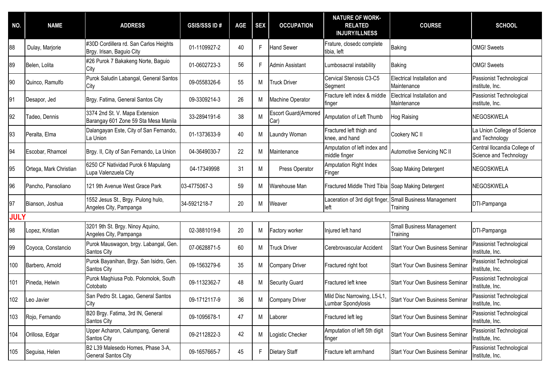| NO.         | <b>NAME</b>            | <b>ADDRESS</b>                                                         | <b>GSIS/SSS ID#</b> | AGE | <b>SEX</b> | <b>OCCUPATION</b>                    | <b>NATURE OF WORK-</b><br><b>RELATED</b><br><b>INJURY/ILLNESS</b> | <b>COURSE</b>                                | <b>SCHOOL</b>                                          |
|-------------|------------------------|------------------------------------------------------------------------|---------------------|-----|------------|--------------------------------------|-------------------------------------------------------------------|----------------------------------------------|--------------------------------------------------------|
| 88          | Dulay, Marjorie        | #30D Cordillera rd. San Carlos Heights<br>Brgy. Irisan, Baguio City    | 01-1109927-2        | 40  | F.         | <b>Hand Sewer</b>                    | Frature, closedc complete<br>tibia, left                          | <b>Baking</b>                                | <b>OMG!</b> Sweets                                     |
| 89          | Belen, Lolita          | #26 Purok 7 Bakakeng Norte, Baguio<br>City                             | 01-0602723-3        | 56  | F.         | Admin Assistant                      | Lumbosacral instability                                           | <b>Baking</b>                                | <b>OMG!</b> Sweets                                     |
| 90          | Quinco, Ramulfo        | Purok Saludin Labangal, General Santos<br>City                         | 09-0558326-6        | 55  | М          | <b>Truck Driver</b>                  | Cervical Stenosis C3-C5<br>Segment                                | Electrical Installation and<br>Maintenance   | Passionist Technological<br>institute, Inc.            |
| 91          | Desapor, Jed           | Brgy. Fatima, General Santos City                                      | 09-3309214-3        | 26  | М          | Machine Operator                     | Fracture left index & middle<br>finger                            | Electrical Installation and<br>Maintenance   | Passionist Technological<br>institute, Inc.            |
| 92          | Tadeo, Dennis          | 3374 2nd St. V. Mapa Extension<br>Barangay 601 Zone 59 Sta Mesa Manila | 33-2894191-6        | 38  | M          | <b>Escort Guard</b> (Armored<br>Car) | Amputation of Left Thumb                                          | <b>Hog Raising</b>                           | NEGOSKWELA                                             |
| 93          | Peralta, Elma          | Dalangayan Este, City of San Fernando,<br>La Union                     | 01-1373633-9        | 40  | М          | Laundry Woman                        | Fractured left thigh and<br>knee, and hand                        | Cookery NC II                                | La Union College of Science<br>and Technology          |
| 94          | Escobar, Rhamcel       | Brgy. II, City of San Fernando, La Union                               | 04-3649030-7        | 22  | М          | Maintenance                          | Amputation of left index and<br>middle finger                     | Automotive Servicing NC II                   | Central Ilocandia College of<br>Science and Technology |
| 95          | Ortega, Mark Christian | 6250 CF Natividad Purok 6 Mapulang<br>Lupa Valenzuela City             | 04-17349998         | 31  | М          | Press Operator                       | Amputation Right Index<br>Finger                                  | Soap Making Detergent                        | <b>NEGOSKWELA</b>                                      |
| 96          | Pancho, Pansoliano     | 121 9th Avenue West Grace Park                                         | 03-4775067-3        | 59  | М          | Warehouse Man                        | Fractured Middle Third Tibia Soap Making Detergent                |                                              | <b>NEGOSKWELA</b>                                      |
| 97          | Bianson, Joshua        | 1552 Jesus St., Brgy. Pulong hulo,<br>Angeles City, Pampanga           | 34-5921218-7        | 20  | М          | Weaver                               | Laceration of 3rd digit finger,<br>left                           | Small Business Management<br>Training        | DTI-Pampanga                                           |
| <b>JULY</b> |                        |                                                                        |                     |     |            |                                      |                                                                   |                                              |                                                        |
| 98          | Lopez, Kristian        | 3201 9th St. Brgy. Ninoy Aquino,<br>Angeles City, Pampanga             | 02-3881019-8        | 20  | М          | Factory worker                       | Injured left hand                                                 | <b>Small Business Management</b><br>Training | DTI-Pampanga                                           |
| 99          | Coyoca, Constancio     | Purok Mauswagon, brgy. Labangal, Gen.<br>Santos City                   | 07-0628871-5        | 60  | М          | <b>Truck Driver</b>                  | Cerebrovascular Accident                                          | <b>Start Your Own Business Seminar</b>       | Passionist Technological<br>Institute, Inc.            |
| 100         | Barbero, Arnold        | Purok Bayanihan, Brgy. San Isidro, Gen.<br>Santos City                 | 09-1563279-6        | 35  | M          | Company Driver                       | Fractured right foot                                              | <b>Start Your Own Business Seminar</b>       | Passionist Technological<br>Institute, Inc.            |
| 101         | Pineda, Helwin         | Purok Maghiusa Pob. Polomolok, South<br>Cotobato                       | 09-1132362-7        | 48  | М          | Security Guard                       | Fractured left knee                                               | <b>Start Your Own Business Seminar</b>       | Passionist Technological<br>Institute, Inc.            |
| 102         | Leo Javier             | San Pedro St. Lagao, General Santos<br>City                            | 09-1712117-9        | 36  | М          | <b>Company Driver</b>                | Mild Disc Narrowing, L5-L1,<br>Lumbar Spondylosis                 | <b>Start Your Own Business Seminar</b>       | Passionist Technological<br>Institute, Inc.            |
| 103         | Rojo, Fernando         | B20 Brgy. Fatima, 3rd IN, General<br>Santos City                       | 09-1095678-1        | 47  | M          | Laborer                              | Fractured left leg                                                | Start Your Own Business Seminar              | Passionist Technological<br>Institute, Inc.            |
| 104         | Orillosa, Edgar        | Upper Acharon, Calumpang, General<br>Santos City                       | 09-2112822-3        | 42  | M          | Logistic Checker                     | Amputation of left 5th digit<br>finger                            | Start Your Own Business Seminar              | Passionist Technological<br>Institute, Inc.            |
| 105         | Seguisa, Helen         | B2 L39 Malesedo Homes, Phase 3-A,<br><b>General Santos City</b>        | 09-1657665-7        | 45  | F.         | Dietary Staff                        | Fracture left arm/hand                                            | <b>Start Your Own Business Seminar</b>       | Passionist Technological<br>Institute, Inc.            |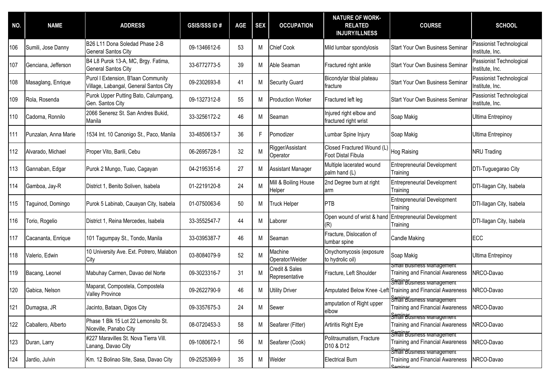| NO. | <b>NAME</b>          | <b>ADDRESS</b>                                                                | <b>GSIS/SSS ID#</b> | <b>AGE</b> | <b>SEX</b> | <b>OCCUPATION</b>                | <b>NATURE OF WORK-</b><br><b>RELATED</b><br><b>INJURY/ILLNESS</b> | <b>COURSE</b>                                                                            | <b>SCHOOL</b>                               |
|-----|----------------------|-------------------------------------------------------------------------------|---------------------|------------|------------|----------------------------------|-------------------------------------------------------------------|------------------------------------------------------------------------------------------|---------------------------------------------|
| 106 | Sumili, Jose Danny   | B26 L11 Dona Soledad Phase 2-B<br><b>General Santos City</b>                  | 09-1346612-6        | 53         | M          | Chief Cook                       | Mild lumbar spondylosis                                           | <b>Start Your Own Business Seminar</b>                                                   | Passionist Technological<br>Institute, Inc. |
| 107 | Genciana, Jefferson  | B4 L8 Purok 13-A, MC, Brgy. Fatima,<br><b>General Santos City</b>             | 33-6772773-5        | 39         | М          | Able Seaman                      | Fractured right ankle                                             | Start Your Own Business Seminar                                                          | Passionist Technological<br>Institute, Inc. |
| 108 | Masaglang, Enrique   | Purol I Extension, B'laan Community<br>Village, Labangal, General Santos City | 09-2302693-8        | 41         | M          | <b>Security Guard</b>            | Bicondylar tibial plateau<br>fracture                             | <b>Start Your Own Business Seminar</b>                                                   | Passionist Technological<br>Institute, Inc. |
| 109 | Rola, Rosenda        | Purok Upper Putting Bato, Calumpang,<br>Gen. Santos City                      | 09-1327312-8        | 55         | М          | <b>Production Worker</b>         | Fractured left leg                                                | <b>Start Your Own Business Seminar</b>                                                   | Passionist Technological<br>Institute, Inc. |
| 110 | Cadorna, Ronnilo     | 2066 Senerez St. San Andres Bukid,<br>Manila                                  | 33-3256172-2        | 46         | M          | Seaman                           | Injured right elbow and<br>fractured right wrist                  | Soap Makig                                                                               | Ultima Entrepinoy                           |
| 111 | Punzalan, Anna Marie | 1534 Int. 10 Canonigo St., Paco, Manila                                       | 33-4850613-7        | 36         | F.         | Pomodizer                        | Lumbar Spine Injury                                               | Soap Makig                                                                               | <b>Ultima Entrepinoy</b>                    |
| 112 | Alvarado, Michael    | Proper Vito, Barili, Cebu                                                     | 06-2695728-1        | 32         | M          | Rigger/Assistant<br>Operator     | Closed Fractured Wound (L)<br>Foot Distal Fibula                  | <b>Hog Raising</b>                                                                       | <b>NRU Trading</b>                          |
| 113 | Gannaban, Edgar      | Purok 2 Mungo, Tuao, Cagayan                                                  | 04-2195351-6        | 27         | M          | Assistant Manager                | Multiple lacerated wound<br>palm hand (L)                         | <b>Entrepreneurial Development</b><br>Training                                           | DTI-Tuguegarao City                         |
| 114 | Gamboa, Jay-R        | District 1, Benito Soliven, Isabela                                           | 01-2219120-8        | 24         | M          | Mill & Boiling House<br>Helper   | 2nd Degree burn at right<br>arm                                   | <b>Entrepreneurial Development</b><br>Training                                           | DTI-Ilagan City, Isabela                    |
| 115 | Taguinod, Domingo    | Purok 5 Labinab, Cauayan City, Isabela                                        | 01-0750063-6        | 50         | М          | <b>Truck Helper</b>              | PTB                                                               | <b>Entrepreneurial Development</b><br>Training                                           | DTI-Ilagan City, Isabela                    |
| 116 | Torio, Rogelio       | District 1, Reina Mercedes, Isabela                                           | 33-3552547-7        | 44         | M          | Laborer                          | Open wound of wrist & hand<br>(R)                                 | <b>Entrepreneurial Development</b><br>Training                                           | DTI-Ilagan City, Isabela                    |
| 117 | Cacananta, Enrique   | 101 Tagumpay St., Tondo, Manila                                               | 33-0395387-7        | 46         | M          | Seaman                           | Fracture, Dislocation of<br>lumbar spine                          | <b>Candle Making</b>                                                                     | ECC                                         |
| 118 | Valerio, Edwin       | 10 University Ave. Ext. Potrero, Malabon<br>City                              | 03-8084079-9        | 52         | M          | Machine<br>Operator/Welder       | Onychomycosis (exposure<br>to hydrolic oil)                       | Soap Makig                                                                               | <b>Ultima Entrepinoy</b>                    |
| 119 | Bacang, Leonel       | Mabuhay Carmen, Davao del Norte                                               | 09-3023316-7        | 31         | M          | Credit & Sales<br>Representative | Fracture, Left Shoulder                                           | <b>Small Business Management</b><br><b>Training and Financial Awareness</b>              | NRCO-Davao                                  |
| 120 | Gabica, Nelson       | Maparat, Compostela, Compostela<br><b>Valley Province</b>                     | 09-2622790-9        | 46         | M          | <b>Utility Driver</b>            |                                                                   | Smain Business wanagement<br>Amputated Below Knee -Left Training and Financial Awareness | NRCO-Davao                                  |
| 121 | Dumagsa, JR          | Jacinto, Bataan, Digos City                                                   | 09-3357675-3        | 24         | М          | Sewer                            | amputation of Right upper<br>elbow                                | Smain Business management<br><b>Training and Financial Awareness</b>                     | NRCO-Davao                                  |
| 122 | Caballero, Alberto   | Phase 1 Blk 15 Lot 22 Lemonsito St.<br>Niceville, Panabo City                 | 08-0720453-3        | 58         | M          | Seafarer (Fitter)                | Artiritis Right Eye                                               | <b>Smain Business Management</b><br><b>Training and Financial Awareness</b>              | NRCO-Davao                                  |
| 123 | Duran, Larry         | #227 Maravilles St. Nova Tierra Vill.<br>Lanang, Davao City                   | 09-1080672-1        | 56         | M          | Seafarer (Cook)                  | Politraumatism, Fracture<br>D10 & D12                             | <b>Seminatismess wanagement</b><br><b>Training and Financial Awareness</b>               | NRCO-Davao                                  |
| 124 | Jardio, Julvin       | Km. 12 Bolinao Site, Sasa, Davao City                                         | 09-2525369-9        | 35         | M          | Welder                           | <b>Electrical Burn</b>                                            | SmairBusiness management<br><b>Training and Financial Awareness</b><br>Saminar           | NRCO-Davao                                  |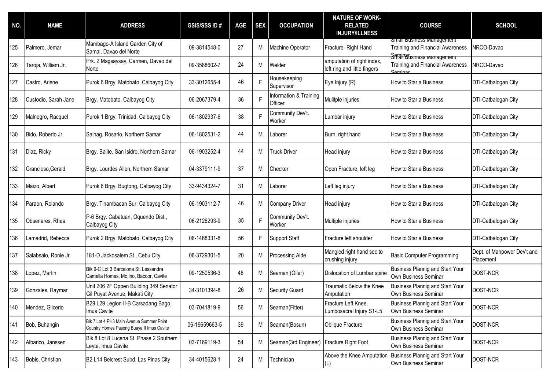| NO. | <b>NAME</b>          | <b>ADDRESS</b>                                                                        | <b>GSIS/SSS ID#</b> | <b>AGE</b> | <b>SEX</b> | <b>OCCUPATION</b>                        | <b>NATURE OF WORK-</b><br><b>RELATED</b><br><b>INJURY/ILLNESS</b> | <b>COURSE</b>                                                                                           | <b>SCHOOL</b>                            |
|-----|----------------------|---------------------------------------------------------------------------------------|---------------------|------------|------------|------------------------------------------|-------------------------------------------------------------------|---------------------------------------------------------------------------------------------------------|------------------------------------------|
| 125 | Palmero, Jemar       | Mambago-A Island Garden City of<br>Samal, Davao del Norte                             | 09-3814548-0        | 27         | М          | Machine Operator                         | Fracture-Right Hand                                               | Small Business Management<br><b>Training and Financial Awareness</b><br><b>Seminationess management</b> | NRCO-Davao                               |
| 126 | Taroja, William Jr.  | Prk. 2 Magsaysay, Carmen, Davao del<br>Norte                                          | 09-3588602-7        | 24         | M          | <b>Nelder</b>                            | amputation of right index,<br>left ring and little fingers        | <b>Training and Financial Awareness</b><br>$S}_{\text{ominal}}$                                         | NRCO-Davao                               |
| 127 | Castro, Arlene       | Purok 6 Brgy. Matobato, Calbayog City                                                 | 33-3012655-4        | 46         | F          | Housekeeping<br>Supervisor               | Eye Injury (R)                                                    | How to Star a Business                                                                                  | DTI-Catbalogan City                      |
| 128 | Custodio, Sarah Jane | Brgy. Matobato, Calbayog City                                                         | 06-2067379-4        | 36         | F          | Information & Training<br>Officer        | Mulitple injuries                                                 | How to Star a Business                                                                                  | DTI-Catbalogan City                      |
| 129 | Malnegro, Racquel    | Purok 1 Brgy. Trinidad, Calbayog City                                                 | 06-1802937-6        | 38         | F          | Community Dev't.<br>Worker               | Lumbar injury                                                     | How to Star a Business                                                                                  | DTI-Catbalogan City                      |
| 130 | Bido, Roberto Jr.    | Salhag, Rosario, Northern Samar                                                       | 06-1802531-2        | 44         | M          | Laborer                                  | Burn, right hand                                                  | How to Star a Business                                                                                  | DTI-Catbalogan City                      |
| 131 | Diaz, Ricky          | Brgy. Balite, San Isidro, Northern Samar                                              | 06-1903252-4        | 44         | M          | <b>Truck Driver</b>                      | Head injury                                                       | How to Star a Business                                                                                  | DTI-Catbalogan City                      |
| 132 | Grancioso, Gerald    | Brgy. Lourdes Allen, Northern Samar                                                   | 04-3379111-9        | 37         | M          | Checker                                  | Open Fracture, left leg                                           | How to Star a Business                                                                                  | DTI-Catbalogan City                      |
| 133 | Maizo, Albert        | Purok 6 Brgy. Bugtong, Calbayog City                                                  | 33-9434324-7        | 31         | М          | Laborer                                  | Left leg injury                                                   | How to Star a Business                                                                                  | DTI-Catbalogan City                      |
| 134 | Paraon, Rolando      | Brgy. Tinambacan Sur, Calbayog City                                                   | 06-1903112-7        | 46         | М          | Company Driver                           | Head injury                                                       | How to Star a Business                                                                                  | DTI-Catbalogan City                      |
| 135 | Obsenares, Rhea      | P-6 Brgy. Cabatuan, Oquendo Dist.,<br>Calbayog City                                   | 06-2126293-9        | 35         | F          | Community Dev't.<br>Worker               | Multiple injuries                                                 | How to Star a Business                                                                                  | DTI-Catbalogan City                      |
| 136 | Lamadrid, Rebecca    | Purok 2 Brgy. Matobato, Calbayog City                                                 | 06-1468331-8        | 56         | F.         | Support Staff                            | Fracture left shoulder                                            | How to Star a Business                                                                                  | DTI-Catbalogan City                      |
| 137 | Salabsalo, Ronie Jr. | 181-D Jackosalem St., Cebu City                                                       | 06-3729301-5        | 20         | М          | Processing Aide                          | Mangled right hand sec to<br>crushing injury                      | <b>Basic Computer Programming</b>                                                                       | Dept. of Manpower Dev't and<br>Placement |
| 138 | Lopez, Martin        | Bik 9-C Lot 3 Barcelona St. Lessandra<br>Camella Homes, Mo;ino, Bacoor, Cavite        | 09-1250536-3        | 48         | М          | Seaman (Oiler)                           | Dislocation of Lumbar spine                                       | <b>Business Plannig and Start Your</b><br>Own Business Seminar                                          | DOST-NCR                                 |
| 139 | Gonzales, Raymar     | Unit 206 2F Oppen Building 349 Senator<br>Gil Puyat Avenue, Makati City               | 34-3101394-8        | 26         | М          | <b>Security Guard</b>                    | Traumatic Below the Knee<br>Amputation                            | <b>Business Plannig and Start Your</b><br>Own Business Seminar                                          | DOST-NCR                                 |
| 140 | Mendez, Glicerio     | B29 L29 Legion II-B Carsadang Bago,<br>Imus Cavite                                    | 03-7041819-9        | 56         | M          | Seaman(Fitter)                           | Fracture Left Knee.<br>Lumbosacral Injury S1-L5                   | Business Plannig and Start Your<br>Own Business Seminar                                                 | DOST-NCR                                 |
| 141 | Bob, Buhangin        | Blk 7 Lot 4 PH3 Main Avenue Summer Point<br>Country Homes Pasong Buaya II Imus Cavite | 06-19659663-5       | 39         | M          | Seaman(Bosun)                            | Oblique Fracture                                                  | <b>Business Plannig and Start Your</b><br>Own Business Seminar                                          | DOST-NCR                                 |
| 142 | Albarico, Janssen    | Blk 8 Lot 8 Lucena St. Phase 2 Southern<br>Leyte, Imus Cavite                         | 03-7169119-3        | 54         | M          | Seaman(3rd Engineer) Fracture Right Foot |                                                                   | <b>Business Plannig and Start Your</b><br>Own Business Seminar                                          | DOST-NCR                                 |
| 143 | Bobis, Christian     | B2 L14 Belcrest Subd. Las Pinas City                                                  | 34-4015628-1        | 24         | M          | Technician                               | Above the Knee Amputation<br>(L)                                  | <b>Business Plannig and Start Your</b><br>Own Business Seminar                                          | DOST-NCR                                 |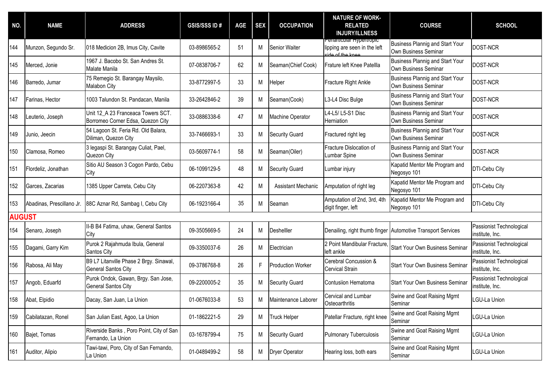| NO.           | <b>NAME</b>               | <b>ADDRESS</b>                                                          | <b>GSIS/SSS ID#</b> | <b>AGE</b> | <b>SEX</b> | <b>OCCUPATION</b>     | <b>NATURE OF WORK-</b><br><b>RELATED</b><br><b>INJURY/ILLNESS</b>            | <b>COURSE</b>                                                  | <b>SCHOOL</b>                               |
|---------------|---------------------------|-------------------------------------------------------------------------|---------------------|------------|------------|-----------------------|------------------------------------------------------------------------------|----------------------------------------------------------------|---------------------------------------------|
| 144           | Munzon, Segundo Sr.       | 018 Medicion 2B, Imus City, Cavite                                      | 03-8986565-2        | 51         | М          | Senior Waiter         | Periarticular Hypertropic<br>lipping are seen in the left<br>ide of the knee | <b>Business Plannig and Start Your</b><br>Own Business Seminar | DOST-NCR                                    |
| 145           | Merced, Jonie             | 1967 J. Bacobo St. San Andres St.<br>Malate Manila                      | 07-0838706-7        | 62         | М          | Seaman(Chief Cook)    | Frature left Knee Patellla                                                   | Business Plannig and Start Your<br>Own Business Seminar        | DOST-NCR                                    |
| 146           | Barredo, Jumar            | 75 Remegio St. Barangay Maysilo,<br>Malabon City                        | 33-8772997-5        | 33         | М          | Helper                | Fracture Right Ankle                                                         | <b>Business Plannig and Start Your</b><br>Own Business Seminar | DOST-NCR                                    |
| 147           | Farinas, Hector           | 1003 Talundon St. Pandacan, Manila                                      | 33-2642846-2        | 39         | М          | Seaman(Cook)          | L3-L4 Disc Bulge                                                             | <b>Business Plannig and Start Your</b><br>Own Business Seminar | DOST-NCR                                    |
| 148           | Leuterio, Joseph          | Unit 12 A 23 Franceaca Towers SCT.<br>Borromeo Corner Edsa, Quezon City | 33-0886338-6        | 47         | М          | Machine Operator      | L4-L5/ L5-S1 Disc<br>Herniation                                              | <b>Business Plannig and Start Your</b><br>Own Business Seminar | DOST-NCR                                    |
| 149           | Junio, Jeecin             | 54 Lagoon St. Feria Rd. Old Balara,<br>Diliman, Quezon City             | 33-7466693-1        | 33         | M          | <b>Security Guard</b> | Fractured right leg                                                          | <b>Business Plannig and Start Your</b><br>Own Business Seminar | DOST-NCR                                    |
| 150           | Clamosa, Romeo            | 3 legaspi St. Barangay Culiat, Pael,<br>Quezon City                     | 03-5609774-1        | 58         | M          | Seaman(Oiler)         | Fracture Dislocation of<br>Lumbar Spine                                      | <b>Business Plannig and Start Your</b><br>Own Business Seminar | DOST-NCR                                    |
| 151           | Flordeliz, Jonathan       | Sitio AU Season 3 Cogon Pardo, Cebu<br>City                             | 06-1099129-5        | 48         | М          | <b>Security Guard</b> | Lumbar injury                                                                | Kapatid Mentor Me Program and<br>Negosyo 101                   | DTI-Cebu City                               |
| 152           | Garces, Zacarias          | 1385 Upper Carreta, Cebu City                                           | 06-2207363-8        | 42         | M          | Assistant Mechanic    | Amputation of right leg                                                      | Kapatid Mentor Me Program and<br>Negosyo 101                   | DTI-Cebu City                               |
| 153           | Abadinas, Prescillano Jr. | 88C Aznar Rd, Sambag I, Cebu City                                       | 06-1923166-4        | 35         | М          | Seaman                | Amputation of 2nd, 3rd, 4th<br>digit finger, left                            | Kapatid Mentor Me Program and<br>Negosyo 101                   | DTI-Cebu City                               |
| <b>AUGUST</b> |                           |                                                                         |                     |            |            |                       |                                                                              |                                                                |                                             |
| 154           | Senaro, Joseph            | II-B B4 Fatima, uhaw, General Santos<br>City                            | 09-3505669-5        | 24         | M          | Deshelller            |                                                                              | Denailing, right thumb finger Automotive Transport Services    | Passionist Technological<br>institute, Inc. |
| 155           | Dagami, Garry Kim         | Purok 2 Rajahmuda Ibula, General<br>Santos City                         | 09-3350037-6        | 26         | M          | Electrician           | 2 Point Mandibular Fracture,<br>left ankle                                   | <b>Start Your Own Business Seminar</b>                         | Passionist Technological<br>institute, Inc. |
| 156           | Rabosa, Ali May           | B9 L7 Litanville Phase 2 Brgy. Sinawal,<br><b>General Santos City</b>   | 09-3786768-8        | 26         | F          | Production Worker     | Cerebral Concussion &<br><b>Cervical Strain</b>                              | <b>Start Your Own Business Seminar</b>                         | Passionist Technological<br>institute, Inc. |
| 157           | Angob, Eduarfd            | Purok Ondok, Gawan, Brgy. San Jose,<br><b>General Santos City</b>       | 09-2200005-2        | 35         | М          | <b>Security Guard</b> | Contusiion Hematoma                                                          | <b>Start Your Own Business Seminar</b>                         | Passionist Technological<br>institute, Inc. |
| 158           | Abat, Elpidio             | Dacay, San Juan, La Union                                               | 01-0676033-8        | 53         | М          | Maintenance Laborer   | Cervical and Lumbar<br>Osteoarthritis                                        | Swine and Goat Raising Mgmt<br>Seminar                         | <b>GU-La Union</b>                          |
| 159           | Cabilatazan, Ronel        | San Julian East, Agoo, La Union                                         | 01-1862221-5        | 29         | M          | <b>Truck Helper</b>   | Patellar Fracture, right knee                                                | Swine and Goat Raising Mgmt<br>Seminar                         | <b>GU-La Union</b>                          |
| 160           | Bajet, Tomas              | Riverside Banks, Poro Point, City of San<br>Fernando, La Union          | 03-1678799-4        | 75         | M          | Security Guard        | <b>Pulmonary Tuberculosis</b>                                                | Swine and Goat Raising Mgmt<br>Seminar                         | <b>GU-La Union</b>                          |
| 161           | Auditor, Alipio           | Tawi-tawi, Poro, City of San Fernando,<br>La Union                      | 01-0489499-2        | 58         | M          | Dryer Operator        | Hearing loss, both ears                                                      | Swine and Goat Raising Mgmt<br>Seminar                         | <b>GU-La Union</b>                          |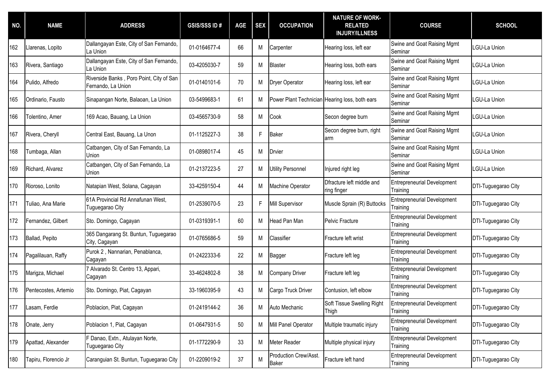| NO. | <b>NAME</b>          | <b>ADDRESS</b>                                                 | <b>GSIS/SSS ID#</b> | <b>AGE</b> | <b>SEX</b> | <b>OCCUPATION</b>                              | <b>NATURE OF WORK-</b><br><b>RELATED</b><br><b>INJURY/ILLNESS</b> | <b>COURSE</b>                                  | <b>SCHOOL</b>       |
|-----|----------------------|----------------------------------------------------------------|---------------------|------------|------------|------------------------------------------------|-------------------------------------------------------------------|------------------------------------------------|---------------------|
| 162 | Llarenas, Lopito     | Dallangayan Este, City of San Fernando,<br>La Union            | 01-0164677-4        | 66         | M          | Carpenter                                      | Hearing loss, left ear                                            | Swine and Goat Raising Mgmt<br>Seminar         | LGU-La Union        |
| 163 | Rivera, Santiago     | Dallangayan Este, City of San Fernando,<br>La Union            | 03-4205030-7        | 59         | М          | <b>Blaster</b>                                 | Hearing loss, both ears                                           | Swine and Goat Raising Mgmt<br>Seminar         | LGU-La Union        |
| 164 | Pulido, Alfredo      | Riverside Banks, Poro Point, City of San<br>Fernando, La Union | 01-0140101-6        | 70         | М          | Dryer Operator                                 | Hearing loss, left ear                                            | Swine and Goat Raising Mgmt<br>Seminar         | LGU-La Union        |
| 165 | Ordinario, Fausto    | Sinapangan Norte, Balaoan, La Union                            | 03-5499683-1        | 61         | М          | Power Plant Technician Hearing loss, both ears |                                                                   | Swine and Goat Raising Mgmt<br>Seminar         | LGU-La Union        |
| 166 | Tolentino, Amer      | 169 Acao, Bauang, La Union                                     | 03-4565730-9        | 58         | М          | Cook                                           | Secon degree burn                                                 | Swine and Goat Raising Mgmt<br>Seminar         | LGU-La Union        |
| 167 | Rivera, Cheryll      | Central East, Bauang, La Unon                                  | 01-1125227-3        | 38         | F.         | <b>Baker</b>                                   | Secon degree burn, right<br>arm                                   | Swine and Goat Raising Mgmt<br>Seminar         | LGU-La Union        |
| 168 | Tumbaga, Allan       | Catbangen, City of San Fernando, La<br>Union                   | 01-0898017-4        | 45         | M          | Drvier                                         |                                                                   | Swine and Goat Raising Mgmt<br>Seminar         | LGU-La Union        |
| 169 | Richard, Alvarez     | Catbangen, City of San Fernando, La<br>Union                   | 01-2137223-5        | 27         | M          | <b>Utility Personnel</b>                       | Injured right leg                                                 | Swine and Goat Raising Mgmt<br>Seminar         | LGU-La Union        |
| 170 | Rioroso, Lonito      | Natapian West, Solana, Cagayan                                 | 33-4259150-4        | 44         | М          | Machine Operator                               | Dfracture left middle and<br>ring finger                          | <b>Entrepreneurial Development</b><br>Training | DTI-Tuguegarao City |
| 171 | Tuliao, Ana Marie    | 61A Provincial Rd Annafunan West,<br>Tuguegarao City           | 01-2539070-5        | 23         | F.         | Mill Supervisor                                | Muscle Sprain (R) Buttocks                                        | <b>Entrepreneurial Development</b><br>Training | DTI-Tuguegarao City |
| 172 | Fernandez, Gilbert   | Sto. Domingo, Cagayan                                          | 01-0319391-1        | 60         | М          | Head Pan Man                                   | Pelvic Fracture                                                   | <b>Entrepreneurial Development</b><br>Training | DTI-Tuguegarao City |
| 173 | Ballad, Pepito       | 365 Dangarang St. Buntun, Tuguegarao<br>City, Cagayan          | 01-0765686-5        | 59         | M          | Classifier                                     | Fracture left wrist                                               | <b>Entrepreneurial Development</b><br>Training | DTI-Tuguegarao City |
| 174 | Pagalilauan, Raffy   | Purok 2, Nannarian, Penablanca,<br>Cagayan                     | 01-2422333-6        | 22         | М          | Bagger                                         | Fracture left leg                                                 | <b>Entrepreneurial Development</b><br>Training | DTI-Tuguegarao City |
| 175 | Marigza, Michael     | 7 Alvarado St. Centro 13, Appari,<br>Cagayan                   | 33-4624802-8        | 38         | М          | Company Driver                                 | Fracture left leg                                                 | <b>Entrepreneurial Development</b><br>Training | DTI-Tuguegarao City |
| 176 | Pentecostes, Artemio | Sto. Domingo, Piat, Cagayan                                    | 33-1960395-9        | 43         | М          | Cargo Truck Driver                             | Contusion, left elbow                                             | <b>Entrepreneurial Development</b><br>Training | DTI-Tuguegarao City |
| 177 | Lasam, Ferdie        | Poblacion, Piat, Cagayan                                       | 01-2419144-2        | 36         | M          | Auto Mechanic                                  | Soft Tissue Swelling Right<br>Thigh                               | <b>Entrepreneurial Development</b><br>Training | DTI-Tuguegarao City |
| 178 | Onate, Jerry         | Poblacion 1, Piat, Cagayan                                     | 01-0647931-5        | 50         | M          | Mill Panel Operator                            | Multiple traumatic injury                                         | <b>Entrepreneurial Development</b><br>Training | DTI-Tuguegarao City |
| 179 | Apattad, Alexander   | Danao, Extn., Atulayan Norte,<br>Tuguegarao City               | 01-1772290-9        | 33         | M          | Meter Reader                                   | Multiple physical injury                                          | Entrepreneurial Development<br>Training        | DTI-Tuguegarao City |
| 180 | Tapiru, Florencio Jr | Caranguian St. Buntun, Tuguegarao City                         | 01-2209019-2        | 37         | M          | Production Crew/Asst.<br><b>Baker</b>          | Fracture left hand                                                | <b>Entrepreneurial Development</b><br>Training | DTI-Tuguegarao City |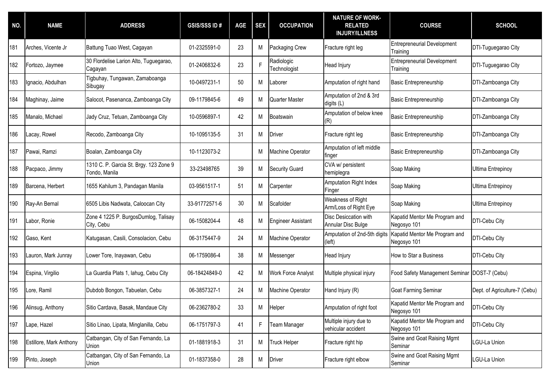| NO. | <b>NAME</b>             | <b>ADDRESS</b>                                          | <b>GSIS/SSS ID#</b> | <b>AGE</b> | <b>SEX</b> | <b>OCCUPATION</b>          | <b>NATURE OF WORK-</b><br><b>RELATED</b><br><b>INJURY/ILLNESS</b> | <b>COURSE</b>                                  | <b>SCHOOL</b>                 |
|-----|-------------------------|---------------------------------------------------------|---------------------|------------|------------|----------------------------|-------------------------------------------------------------------|------------------------------------------------|-------------------------------|
| 181 | Arches, Vicente Jr      | Battung Tuao West, Cagayan                              | 01-2325591-0        | 23         | M          | Packaging Crew             | Fracture right leg                                                | <b>Entrepreneurial Development</b><br>Training | DTI-Tuguegarao City           |
| 182 | Fortozo, Jaymee         | 30 Flordelise Larion Alto, Tuguegarao,<br>Cagayan       | 01-2406832-6        | 23         | F          | Radiologic<br>Technologist | Head Injury                                                       | <b>Entrepreneurial Development</b><br>Training | DTI-Tuguegarao City           |
| 183 | Ignacio, Abdulhan       | Tigbuhay, Tungawan, Zamaboanga<br>Sibugay               | 10-0497231-1        | 50         | M          | Laborer                    | Amputation of right hand                                          | <b>Basic Entrepreneurship</b>                  | DTI-Zamboanga City            |
| 184 | Maghinay, Jaime         | Salocot, Pasenanca, Zamboanga City                      | 09-1179845-6        | 49         | М          | Quarter Master             | Amputation of 2nd & 3rd<br>digits (L)                             | Basic Entrepreneurship                         | DTI-Zamboanga City            |
| 185 | Manalo, Michael         | Jady Cruz, Tetuan, Zamboanga City                       | 10-0596897-1        | 42         | M          | Boatswain                  | Amputation of below knee<br>(R)                                   | <b>Basic Entrepreneurship</b>                  | DTI-Zamboanga City            |
| 186 | Lacay, Rowel            | Recodo, Zamboanga City                                  | 10-1095135-5        | 31         | M          | Driver                     | Fracture right leg                                                | <b>Basic Entrepreneurship</b>                  | DTI-Zamboanga City            |
| 187 | Pawai, Ramzi            | Boalan, Zamboanga City                                  | 10-1123073-2        |            | М          | Machine Operator           | Amputation of left middle<br>finger                               | Basic Entrepreneurship                         | DTI-Zamboanga City            |
| 188 | Pacpaco, Jimmy          | 1310 C. P. Garcia St. Brgy. 123 Zone 9<br>Tondo, Manila | 33-23498765         | 39         | M          | <b>Security Guard</b>      | CVA w/ persistent<br>hemiplegra                                   | Soap Making                                    | <b>Ultima Entrepinoy</b>      |
| 189 | Barcena, Herbert        | 1655 Kahilum 3, Pandagan Manila                         | 03-9561517-1        | 51         | M          | Carpenter                  | Amputation Right Index<br>Finger                                  | Soap Making                                    | Ultima Entrepinoy             |
| 190 | Ray-An Bernal           | 6505 Libis Nadwata, Caloocan City                       | 33-91772571-6       | 30         | M          | Scafolder                  | Weakness of Right<br>Arm/Loss of Right Eye                        | Soap Making                                    | <b>Ultima Entrepinoy</b>      |
| 191 | Labor, Ronie            | Zone 4 1225 P. BurgosDumlog, Talisay<br>City, Cebu      | 06-1508204-4        | 48         | M          | <b>Engineer Assistant</b>  | Disc Desiccation with<br>Annular Disc Bulge                       | Kapatid Mentor Me Program and<br>Negosyo 101   | DTI-Cebu City                 |
| 192 | Gaso, Kent              | Katugasan, Casili, Consolacion, Cebu                    | 06-3175447-9        | 24         | М          | Machine Operator           | Amputation of 2nd-5th digits<br>(left)                            | Kapatid Mentor Me Program and<br>Negosyo 101   | DTI-Cebu City                 |
| 193 | Lauron, Mark Junray     | Lower Tore, Inayawan, Cebu                              | 06-1759086-4        | 38         | M          | Messenger                  | Head Injury                                                       | How to Star a Business                         | DTI-Cebu City                 |
| 194 | Espina, Virgilio        | La Guardia Plats 1, lahug, Cebu City                    | 06-18424849-0       | 42         | М          | Work Force Analyst         | Multiple physical injury                                          | Food Safety Management Seminar                 | DOST-7 (Cebu)                 |
| 195 | Lore, Ramil             | Dubdob Bongon, Tabuelan, Cebu                           | 06-3857327-1        | 24         | М          | Machine Operator           | Hand Injury (R)                                                   | <b>Goat Farming Seminar</b>                    | Dept. of Agriculture-7 (Cebu) |
| 196 | Alinsug, Anthony        | Sitio Cardava, Basak, Mandaue City                      | 06-2362780-2        | 33         | М          | Helper                     | Amputation of right foot                                          | Kapatid Mentor Me Program and<br>Negosyo 101   | DTI-Cebu City                 |
| 197 | Lape, Hazel             | Sitio Linao, Lipata, Minglanilla, Cebu                  | 06-1751797-3        | 41         | F.         | <b>Team Manager</b>        | Multiple injury due to<br>vehicular accident                      | Kapatid Mentor Me Program and<br>Negosyo 101   | DTI-Cebu City                 |
| 198 | Estillore, Mark Anthony | Catbangan, City of San Fernando, La<br>Union            | 01-1881918-3        | 31         | M          | <b>Truck Helper</b>        | Fracture right hip                                                | Swine and Goat Raising Mgmt<br>Seminar         | <b>GU-La Union</b>            |
| 199 | Pinto, Joseph           | Catbangan, City of San Fernando, La<br>Union            | 01-1837358-0        | 28         | M          | <b>Driver</b>              | Fracture right elbow                                              | Swine and Goat Raising Mgmt<br>Seminar         | <b>GU-La Union</b>            |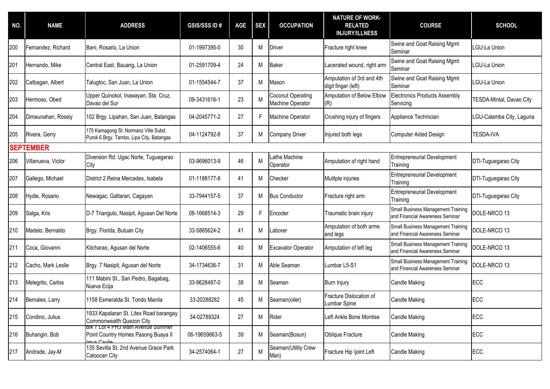| NO. | <b>NAME</b>        | <b>ADDRESS</b>                                                                                          | <b>GSIS/SSS ID#</b> | <b>AGE</b> | <b>SEX</b> | <b>OCCUPATION</b>                     | <b>NATURE OF WORK-</b><br><b>RELATED</b><br><b>INJURY/ILLNESS</b> | <b>COURSE</b>                                                         | <b>SCHOOL</b>            |
|-----|--------------------|---------------------------------------------------------------------------------------------------------|---------------------|------------|------------|---------------------------------------|-------------------------------------------------------------------|-----------------------------------------------------------------------|--------------------------|
| 200 | Fernandez, Richard | Bani, Rosario, La Union                                                                                 | 01-1997395-0        | 30         | М          | <b>Driver</b>                         | Fracture right knee                                               | Swine and Goat Raising Mgmt<br>Seminar                                | LGU-La Union             |
| 201 | Hernando, Mike     | Central East, Bauang, La Union                                                                          | 01-2591709-4        | 24         | М          | <b>Baker</b>                          | Lacerated wound, right arm                                        | Swine and Goat Raising Mgmt<br>Seminar                                | LGU-La Union             |
| 202 | Catbagan, Albert   | Talugtoc, San Juan, La Union                                                                            | 01-1554544-7        | 37         | M          | Mason                                 | Amputation of 3rd and 4th<br>digit finger (left)                  | Swine and Goat Raising Mgmt<br>Seminar                                | <b>GU-La Union</b>       |
| 203 | Hermoso, Obed      | Upper Quinokol, Inawayan, Sta. Cruz,<br>Davao del Sur                                                   | 09-3431616-1        | 23         | М          | Coconut Operating<br>Machine Operator | Amputation of Below Elbow<br>(R)                                  | <b>Electronics Products Assembly</b><br>Servicing                     | TESDA-Mintal, Davao City |
| 204 | Dimaunahan, Rosely | 102 Brgy. Lipahan, San Juan, Batangas                                                                   | 04-2045771-2        | 27         | F.         | Machine Operator                      | Crushing injury of fingers                                        | Appliance Technician                                                  | LGU-Calamba City, Laguna |
| 205 | Rivera, Gerry      | 175 Kamagong St. Normanz Ville Subd.<br>Purok 6 Brgy. Tambo, Lipa City, Batangas                        | 04-1124792-8        | 37         | M          | Company Driver                        | Injured both legs                                                 | Computer Aided Design                                                 | <b>TESDA-IVA</b>         |
|     | <b>SEPTEMBER</b>   |                                                                                                         |                     |            |            |                                       |                                                                   |                                                                       |                          |
| 206 | Villanueva, Victor | Diversion Rd. Ugac Norte, Tuguegarao<br>City                                                            | 03-9696013-9        | 46         | M          | athe Machine<br>Operator              | Amputation of right hand                                          | <b>Entrepreneurial Development</b><br>Training                        | DTI-Tuguegarao City      |
| 207 | Gallego, Michael   | District 2 Reina Mercedes, Isabela                                                                      | 01-1188177-8        | 41         | М          | Checker                               | Mulitple injuries                                                 | <b>Entrepreneurial Development</b><br>Training                        | DTI-Tuguegarao City      |
| 208 | Hydie, Rosario     | Newagac, Gattaran, Cagayan                                                                              | 33-7944157-5        | 37         | М          | <b>Bus Conductor</b>                  | Fracture right arm                                                | <b>Entrepreneurial Development</b><br>Training                        | DTI-Tuguegarao City      |
| 209 | Salga, Kris        | D-7 Triangulo, Nasipit, Agusan Del Norte                                                                | 08-1668514-3        | 29         | F.         | Encoder                               | Traumatic brain injury                                            | Small Business Management Training<br>and Financial Awareness Seminar | DOLE-NRCO 13             |
| 210 | Madelo, Bernaldo   | Brgy. Florida, Butuan City                                                                              | 33-5865624-2        | 41         | M          | Laborer                               | Amputation of both arms<br>and legs                               | Small Business Management Training<br>and Financial Awareness Seminar | DOLE-NRCO 13             |
| 211 | Coca, Giovanni     | Kitcharao, Agusan del Norte                                                                             | 02-1406555-6        | 40         | М          | <b>Excavator Operator</b>             | Amputation of left leg                                            | Small Business Management Training<br>and Financial Awareness Seminar | DOLE-NRCO 13             |
| 212 | Cacho, Mark Leslie | Brgy. 7 Nasipit, Agusan del Norte                                                                       | 34-1734636-7        | 31         | M          | Able Seaman                           | Lumbar L5-S1                                                      | Small Business Management Training<br>and Financial Awareness Seminar | DOLE-NRCO 13             |
| 213 | Melegrito, Carlos  | 111 Mabini St., San Pedro, Bagabag,<br>Nueva Ecija                                                      | 33-9628487-0        | 38         | М          | Seaman                                | <b>Burn Injury</b>                                                | Candle Making                                                         | ECC                      |
| 214 | Bernales, Larry    | 1158 Esmeralda St. Tondo Manila                                                                         | 33-20288282         | 45         | М          | Seaman(oiler)                         | Fracture Dislocation of<br>Lumbar Spine                           | <b>Candle Making</b>                                                  | ECC                      |
| 215 | Condino, Julius    | 1933 Kapalaran St. Litex Road barangay<br>Commonwealth Quezon City                                      | 34-02789324         | 27         | M          | Rider                                 | Left Ankle Bone Montise                                           | <b>Candle Making</b>                                                  | ECC                      |
| 216 | Buhangin, Bob      | <b>BIK / LOT 4 PH3 Main Avenue Summer</b><br>Point Country Homes Pasong Buaya II<br><u>Imus Cavito </u> | 06-19659663-5       | 39         | M          | Seaman(Bosun)                         | Oblique Fracture                                                  | <b>Candle Making</b>                                                  | ECC                      |
| 217 | Andrade, Jay-M     | 135 Sevilla St. 2nd Avenue Grace Park<br>Caloocan City                                                  | 34-2574064-1        | 27         | M          | Seaman(Utility Crew<br>Man)           | Fracture Hip \joint Left                                          | <b>Candle Making</b>                                                  | <b>ECC</b>               |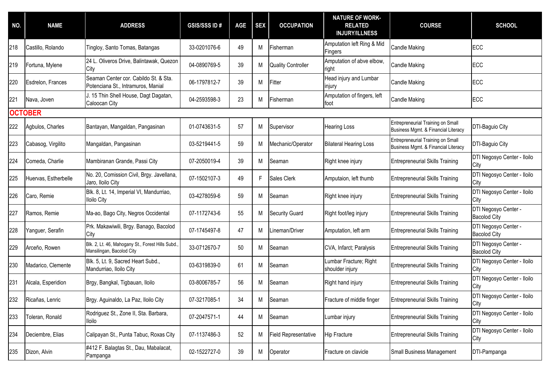| NO. | <b>NAME</b>          | <b>ADDRESS</b>                                                                | <b>GSIS/SSS ID#</b> | <b>AGE</b> | <b>SEX</b> | <b>OCCUPATION</b>           | <b>NATURE OF WORK-</b><br><b>RELATED</b><br><b>INJURY/ILLNESS</b> | <b>COURSE</b>                                                            | <b>SCHOOL</b>                               |
|-----|----------------------|-------------------------------------------------------------------------------|---------------------|------------|------------|-----------------------------|-------------------------------------------------------------------|--------------------------------------------------------------------------|---------------------------------------------|
| 218 | Castillo, Rolando    | Tingloy, Santo Tomas, Batangas                                                | 33-0201076-6        | 49         | M          | Fisherman                   | Amputation left Ring & Mid<br>Fingers                             | <b>Candle Making</b>                                                     | ECC                                         |
| 219 | Fortuna, Mylene      | 24 L. Oliveros Drive, Balintawak, Quezon<br>City                              | 04-0890769-5        | 39         | M          | <b>Quality Controller</b>   | Amputation of abve elbow,<br>right                                | <b>Candle Making</b>                                                     | ECC                                         |
| 220 | Esdrelon, Frances    | Seaman Center cor. Cabildo St. & Sta.<br>Potenciana St., Intramuros, Manial   | 06-1797812-7        | 39         | M          | Fitter                      | Head injury and Lumbar<br>injury                                  | <b>Candle Making</b>                                                     | ECC                                         |
| 221 | Nava, Joven          | J. 15 Thin Shell House, Dagt Dagatan,<br>Caloocan City                        | 04-2593598-3        | 23         | M          | Fisherman                   | Amputation of fingers, left<br>foot                               | <b>Candle Making</b>                                                     | ECC                                         |
|     | <b>OCTOBER</b>       |                                                                               |                     |            |            |                             |                                                                   |                                                                          |                                             |
| 222 | Agbulos, Charles     | Bantayan, Mangaldan, Pangasinan                                               | 01-0743631-5        | 57         | M          | Supervisor                  | <b>Hearing Loss</b>                                               | Entrepreneurial Training on Small<br>Business Mgmt. & Financial Literacy | DTI-Baguio City                             |
| 223 | Cabasog, Virgilito   | Mangaldan, Pangasinan                                                         | 03-5219441-5        | 59         | M          | Mechanic/Operator           | <b>Bilateral Hearing Loss</b>                                     | Entrepreneurial Training on Small<br>Business Mgmt. & Financial Literacy | DTI-Baguio City                             |
| 224 | Comeda, Charlie      | Mambiranan Grande, Passi City                                                 | 07-2050019-4        | 39         | M          | Seaman                      | Right knee injury                                                 | <b>Entrepreneurial Skills Training</b>                                   | DTI Negosyo Center - Iloilo<br>City         |
| 225 | Huervas, Estherbelle | No. 20, Comission Civil, Brgy. Javellana,<br>Jaro, Iloilo City                | 07-1502107-3        | 49         | F.         | Sales Clerk                 | Amputaion, left thumb                                             | <b>Entrepreneurial Skills Training</b>                                   | DTI Negosyo Center - Iloilo<br>City         |
| 226 | Caro, Remie          | Blk. 8, Lt. 14, Imperial VI, Mandurriao,<br>lloilo City                       | 03-4278059-6        | 59         | M          | Seaman                      | Right knee injury                                                 | <b>Entrepreneurial Skills Training</b>                                   | DTI Negosyo Center - Iloilo<br>City         |
| 227 | Ramos, Remie         | Ma-ao, Bago City, Negros Occidental                                           | 07-1172743-6        | 55         | M          | <b>Security Guard</b>       | Right foot/leg injury                                             | <b>Entrepreneurial Skills Training</b>                                   | DTI Negosyo Center -<br><b>Bacolod City</b> |
| 228 | Yanguer, Serafin     | Prk. Makawiwili, Brgy. Banago, Bacolod<br>City                                | 07-1745497-8        | 47         | M          | Lineman/Driver              | Amputation, left arm                                              | <b>Entrepreneurial Skills Training</b>                                   | DTI Negosyo Center -<br><b>Bacolod City</b> |
| 229 | Arceño, Rowen        | Blk. 2, Lt. 46, Mahogany St., Forest Hills Subd.<br>Mansilingan, Bacolod City | 33-0712670-7        | 50         | M          | Seaman                      | CVA, Infarct; Paralysis                                           | <b>Entrepreneurial Skills Training</b>                                   | DTI Negosyo Center -<br><b>Bacolod City</b> |
| 230 | Madarico, Clemente   | Blk. 5, Lt. 9, Sacred Heart Subd.,<br>Mandurriao, Iloilo City                 | 03-6319839-0        | 61         | M          | Seaman                      | Lumbar Fracture; Right<br>shoulder injury                         | <b>Entrepreneurial Skills Training</b>                                   | DTI Negosyo Center - Iloilo<br>City         |
| 231 | Alcala, Esperidion   | Brgy, Bangkal, Tigbauan, Iloilo                                               | 03-8006785-7        | 56         | М          | Seaman                      | Right hand injury                                                 | <b>Entrepreneurial Skills Training</b>                                   | DTI Negosyo Center - Iloilo<br>City         |
| 232 | Ricañas, Lenric      | Brgy. Aguinaldo, La Paz, Iloilo City                                          | 07-3217085-1        | 34         | M          | Seaman                      | Fracture of middle finger                                         | <b>Entrepreneurial Skills Training</b>                                   | DTI Negosyo Center - Iloilo<br>City         |
| 233 | Toleran, Ronald      | Rodriguez St., Zone II, Sta. Barbara,<br>lloilo                               | 07-2047571-1        | 44         | M          | Seaman                      | Lumbar injury                                                     | <b>Entrepreneurial Skills Training</b>                                   | DTI Negosyo Center - Iloilo<br>City         |
| 234 | Deciembre, Elias     | Calipayan St., Punta Tabuc, Roxas City                                        | 07-1137486-3        | 52         | M          | <b>Field Representative</b> | <b>Hip Fracture</b>                                               | <b>Entrepreneurial Skills Training</b>                                   | DTI Negosyo Center - Iloilo<br>City         |
| 235 | Dizon, Alvin         | #412 F. Balagtas St., Dau, Mabalacat,<br>Pampanga                             | 02-1522727-0        | 39         | М          | Operator                    | Fracture on clavicle                                              | <b>Small Business Management</b>                                         | DTI-Pampanga                                |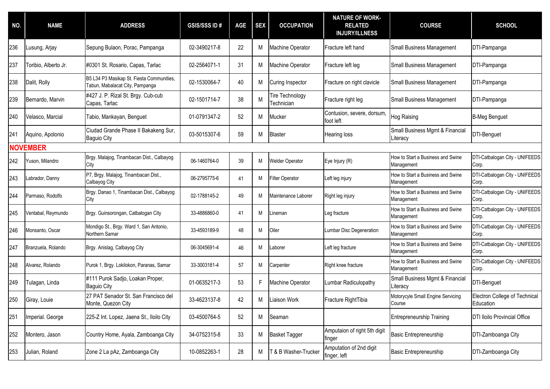| NO. | <b>NAME</b>          | <b>ADDRESS</b>                                                               | <b>GSIS/SSS ID#</b> | <b>AGE</b> | <b>SEX</b> | <b>OCCUPATION</b>             | <b>NATURE OF WORK-</b><br><b>RELATED</b><br><b>INJURY/ILLNESS</b> | <b>COURSE</b>                                   | <b>SCHOOL</b>                              |
|-----|----------------------|------------------------------------------------------------------------------|---------------------|------------|------------|-------------------------------|-------------------------------------------------------------------|-------------------------------------------------|--------------------------------------------|
| 236 | Lusung, Arjay        | Sepung Bulaon, Porac, Pampanga                                               | 02-3490217-8        | 22         | М          | Machine Operator              | Fracture left hand                                                | <b>Small Business Management</b>                | DTI-Pampanga                               |
| 237 | Toribio, Alberto Jr. | #0301 St. Rosario, Capas, Tarlac                                             | 02-2564071-1        | 31         | М          | Machine Operator              | Fracture left leg                                                 | <b>Small Business Management</b>                | DTI-Pampanga                               |
| 238 | Dalit, Rolly         | B5 L34 P3 Masikap St. Fiesta Communities,<br>Tabun, Mabalacat City, Pampanga | 02-1530064-7        | 40         | м          | <b>Curing Inspector</b>       | Fracture on right clavicle                                        | <b>Small Business Management</b>                | DTI-Pampanga                               |
| 239 | Bernardo, Marvin     | #427 J. P. Rizal St. Brgy. Cub-cub<br>Capas, Tarlac                          | 02-1501714-7        | 38         | М          | Tire Technology<br>Technician | Fracture right leg                                                | <b>Small Business Management</b>                | DTI-Pampanga                               |
| 240 | Velasco, Marcial     | Tabio, Mankayan, Benguet                                                     | 01-0791347-2        | 52         | M          | Mucker                        | Contusion, severe, dorsum,<br>foot left                           | <b>Hog Raising</b>                              | <b>B-Meg Benguet</b>                       |
| 241 | Aquino, Apolonio     | Ciudad Grande Phase II Bakakeng Sur,<br><b>Baguio City</b>                   | 03-5015307-6        | 59         | М          | <b>Blaster</b>                | Hearing loss                                                      | Small Business Mgmt & Financial<br>Literacy     | DTI-Benguet                                |
|     | <b>NOVEMBER</b>      |                                                                              |                     |            |            |                               |                                                                   |                                                 |                                            |
| 242 | Yuson, Milandro      | Brgy. Malajog, Tinambacan Dist., Calbayog<br>City                            | 06-1460764-0        | 39         | M          | <b>Welder Operator</b>        | Eye Injury (R)                                                    | How to Start a Business and Swine<br>Management | DTI-Catbalogan City - UNIFEEDS<br>Corp.    |
| 243 | Labrador, Danny      | P7, Brgy. Malajog, Tinambacan Dist.,<br>Calbayog City                        | 06-2795775-6        | 41         | M          | <b>Filter Operator</b>        | Left leg injury                                                   | How to Start a Business and Swine<br>Management | DTI-Catbalogan City - UNIFEEDS<br>Corp.    |
| 244 | Parmaso, Rodolfo     | Brgy. Danao 1, Tinambacan Dist., Calbayog<br>City                            | 02-1788145-2        | 49         | M          | Maintenance Laborer           | Right leg injury                                                  | How to Start a Business and Swine<br>Management | DTI-Catbalogan City - UNIFEEDS<br>Corp.    |
| 245 | Ventabal, Reymundo   | Brgy. Guinsorongan, Catbalogan City                                          | 33-4886860-0        | 41         | м          | Lineman                       | Leg fracture                                                      | How to Start a Business and Swine<br>Management | DTI-Catbalogan City - UNIFEEDS<br>Corp.    |
| 246 | Monsanto, Oscar      | Mondigo St., Brgy. Ward 1, San Antonio,<br>Northern Samar                    | 33-4593189-9        | 48         | M          | Oiler                         | Lumbar Disc Degeneration                                          | How to Start a Business and Swine<br>Management | DTI-Catbalogan City - UNIFEEDS<br>Corp.    |
| 247 | Branzuela, Rolando   | Brgy. Anislag, Calbayog City                                                 | 06-3045691-4        | 46         | м          | Laborer                       | Left leg fracture                                                 | How to Start a Business and Swine<br>Management | DTI-Catbalogan City - UNIFEEDS<br>Corp.    |
| 248 | Alvarez, Rolando     | Purok 1, Brgy. Lokilokon, Paranas, Samar                                     | 33-3003181-4        | 57         | M          | Carpenter                     | Right knee fracture                                               | How to Start a Business and Swine<br>Management | DTI-Catbalogan City - UNIFEEDS<br>Corp.    |
| 249 | Tulagan, Linda       | #111 Purok Sadjo, Loakan Proper,<br><b>Baguio City</b>                       | 01-0635217-3        | 53         | F.         | Machine Operator              | Lumbar Radiculopathy                                              | Small Business Mgmt & Financial<br>Literacy     | DTI-Benguet                                |
| 250 | Giray, Louie         | 27 PAT Senador St. San Francisco del<br>Monte, Quezon City                   | 33-4623137-8        | 42         | М          | Liaison Work                  | Fracture RightTibia                                               | Motorycyle Small Engine Servicing<br>Course     | Electron College of Technical<br>Education |
| 251 | Imperial. George     | 225-Z Int. Lopez, Jaena St., Iloilo City                                     | 03-4500764-5        | 52         | М          | Seaman                        |                                                                   | <b>Entrepreneurship Training</b>                | <b>DTI Iloilo Provincial Office</b>        |
| 252 | Montero, Jason       | Country Home, Ayala, Zamboanga City                                          | 34-0752315-8        | 33         | М          | <b>Basket Tagger</b>          | Amputaion of right 5th digit<br>finger                            | <b>Basic Entrepreneurship</b>                   | DTI-Zamboanga City                         |
| 253 | Julian, Roland       | Zone 2 La pAz, Zamboanga City                                                | 10-0852263-1        | 28         | M          | T & B Washer-Trucker          | Amputation of 2nd digit<br>finger, left                           | Basic Entrepreneurship                          | DTI-Zamboanga City                         |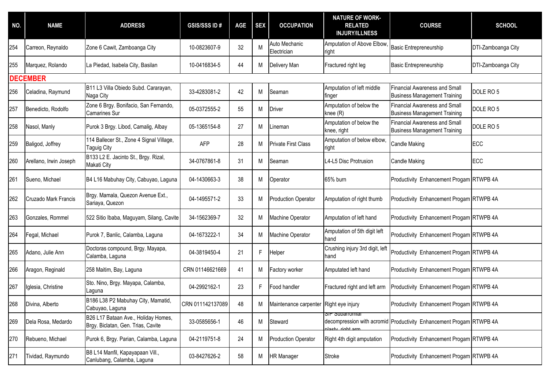| NO. | <b>NAME</b>            | <b>ADDRESS</b>                                                            | <b>GSIS/SSS ID#</b> | <b>AGE</b> | <b>SEX</b> | <b>OCCUPATION</b>                      | <b>NATURE OF WORK-</b><br><b>RELATED</b><br><b>INJURY/ILLNESS</b> | <b>COURSE</b>                                                               | <b>SCHOOL</b>        |  |  |  |
|-----|------------------------|---------------------------------------------------------------------------|---------------------|------------|------------|----------------------------------------|-------------------------------------------------------------------|-----------------------------------------------------------------------------|----------------------|--|--|--|
| 254 | Carreon, Reynaldo      | Zone 6 Cawit, Zamboanga City                                              | 10-0823607-9        | 32         | M          | Auto Mechanic<br>Electrician           | Amputation of Above Elbow<br>right                                | <b>Basic Entrepreneurship</b>                                               | DTI-Zamboanga City   |  |  |  |
| 255 | Marquez, Rolando       | La Piedad, Isabela City, Basilan                                          | 10-0416834-5        | 44         | М          | Delivery Man                           | Fractured right leg                                               | <b>Basic Entrepreneurship</b>                                               | DTI-Zamboanga City   |  |  |  |
|     | <b>DECEMBER</b>        |                                                                           |                     |            |            |                                        |                                                                   |                                                                             |                      |  |  |  |
| 256 | Celadina, Raymund      | B11 L3 Villa Obiedo Subd. Cararayan,<br>Naga City                         | 33-4283081-2        | 42         | М          | Seaman                                 | Amputation of left middle<br>finger                               | <b>Financial Awareness and Small</b><br><b>Business Management Training</b> | DOLE RO 5            |  |  |  |
| 257 | Benedicto, Rodolfo     | Zone 6 Brgy. Bonifacio, San Fernando,<br>Camarines Sur                    | 05-0372555-2        | 55         | М          | <b>Driver</b>                          | Amputation of below the<br>knee (R)                               | <b>Financial Awareness and Small</b><br><b>Business Management Training</b> | DOLE RO <sub>5</sub> |  |  |  |
| 258 | Nasol, Manly           | Purok 3 Brgy. Libod, Camalig, Albay                                       | 05-1365154-8        | 27         | М          | _ineman                                | Amputation of below the<br>knee, right                            | <b>Financial Awareness and Small</b><br><b>Business Management Training</b> | DOLE RO <sub>5</sub> |  |  |  |
| 259 | Baligod, Joffrey       | 114 Ballecer St., Zone 4 Signal Village,<br>Taguig City                   | <b>AFP</b>          | 28         | м          | <b>Private First Class</b>             | Amputation of below elbow,<br>right                               | Candle Making                                                               | ECC                  |  |  |  |
| 260 | Arellano, Irwin Joseph | B133 L2 E. Jacinto St., Brgy. Rizal,<br>Makati City                       | 34-0767861-8        | 31         | М          | Seaman                                 | L4-L5 Disc Protrusion                                             | <b>Candle Making</b>                                                        | <b>ECC</b>           |  |  |  |
| 261 | Sueno, Michael         | B4 L16 Mabuhay City, Cabuyao, Laguna                                      | 04-1430663-3        | 38         | М          | Operator                               | 65% burn                                                          | Productivity Enhancement Progam RTWPB 4A                                    |                      |  |  |  |
| 262 | Cruzado Mark Francis   | Brgy. Mamala, Quezon Avenue Ext.,<br>Sariaya, Quezon                      | 04-1495571-2        | 33         | М          | <b>Production Operator</b>             | Amputation of right thumb                                         | Productivity Enhancement Progam RTWPB 4A                                    |                      |  |  |  |
| 263 | Gonzales, Rommel       | 522 Sitio Ibaba, Maguyam, Silang, Cavite                                  | 34-1562369-7        | 32         | М          | Machine Operator                       | Amputation of left hand                                           | Productivity Enhancement Progam RTWPB 4A                                    |                      |  |  |  |
| 264 | Fegal, Michael         | Purok 7, Banlic, Calamba, Laguna                                          | 04-1673222-1        | 34         | М          | Machine Operator                       | Amputation of 5th digit left<br>hand                              | Productivity Enhancement Progam RTWPB 4A                                    |                      |  |  |  |
| 265 | Adano, Julie Ann       | Doctoras compound, Brgy. Mayapa,<br>Calamba, Laguna                       | 04-3819450-4        | 21         | F.         | Helper                                 | Crushing injury 3rd digit, left<br>hand                           | Productivity Enhancement Progam RTWPB 4A                                    |                      |  |  |  |
| 266 | Aragon, Reginald       | 258 Maitim, Bay, Laguna                                                   | CRN 01146621669     | 41         | М          | Factory worker                         | Amputated left hand                                               | Productivity Enhancement Progam RTWPB 4A                                    |                      |  |  |  |
| 267 | Iglesia, Christine     | Sto. Nino, Brgy. Mayapa, Calamba,<br>Laguna                               | 04-2992162-1        | 23         | F.         | Food handler                           | Fractured right and left arm                                      | Productivity Enhancement Progam RTWPB 4A                                    |                      |  |  |  |
| 268 | Divina, Alberto        | B186 L38 P2 Mabuhay City, Mamatid,<br>Cabuyao, Laguna                     | CRN 011142137089    | 48         | M          | Maintenance carpenter Right eye injury |                                                                   | Productivity Enhancement Progam RTWPB 4A                                    |                      |  |  |  |
| 269 | Dela Rosa, Medardo     | B26 L17 Bataan Ave., Holiday Homes,<br>Brgy. Biclatan, Gen. Trias, Cavite | 33-0585656-1        | 46         | M          | Steward                                | S/P Suparromial<br>alacty right arm                               | decompression with acromid Productivity Enhancement Progam RTWPB 4A         |                      |  |  |  |
| 270 | Rebueno, Michael       | Purok 6, Brgy. Parian, Calamba, Laguna                                    | 04-2119751-8        | 24         | М          | <b>Production Operator</b>             | Right 4th digit amputation                                        | Productivity Enhancement Progam RTWPB 4A                                    |                      |  |  |  |
| 271 | Tividad, Raymundo      | B8 L14 Manfil, Kapayapaan Vill.,<br>Canlubang, Calamba, Laguna            | 03-8427626-2        | 58         | М          | <b>HR Manager</b>                      | Stroke                                                            | Productivity Enhancement Progam RTWPB 4A                                    |                      |  |  |  |